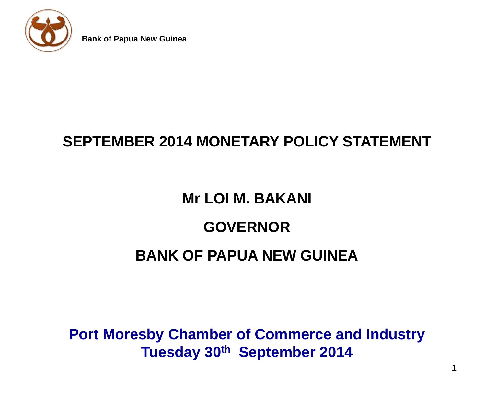

#### **SEPTEMBER 2014 MONETARY POLICY STATEMENT**

#### **Mr LOI M. BAKANI**

#### **GOVERNOR**

#### **BANK OF PAPUA NEW GUINEA**

**Port Moresby Chamber of Commerce and Industry Tuesday 30th September 2014**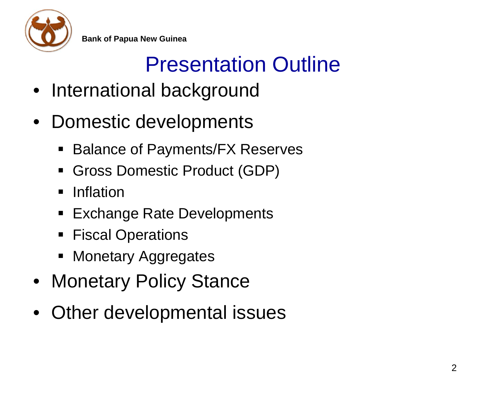

## Presentation Outline

- International background
- Domestic developments
	- Balance of Payments/FX Reserves
	- Gross Domestic Product (GDP)
	- Inflation
	- Exchange Rate Developments
	- **Fiscal Operations**
	- **Nonetary Aggregates**
- Monetary Policy Stance
- Other developmental issues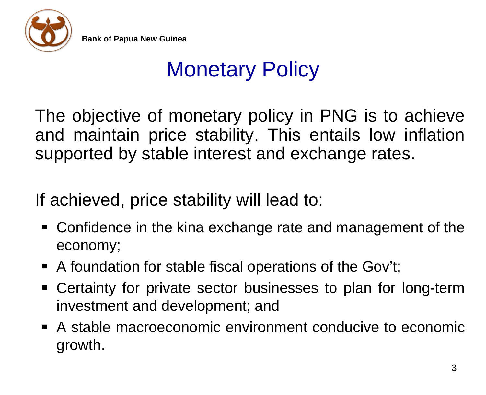

### Monetary Policy

The objective of monetary policy in PNG is to achieve and maintain price stability. This entails low inflation supported by stable interest and exchange rates.

If achieved, price stability will lead to:

- Confidence in the kina exchange rate and management of the economy;
- A foundation for stable fiscal operations of the Gov't;
- Certainty for private sector businesses to plan for long-term investment and development; and
- A stable macroeconomic environment conducive to economic growth.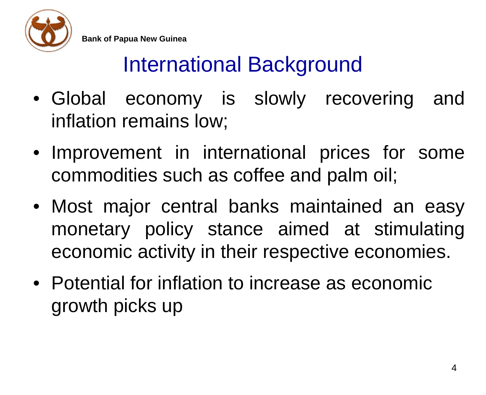

#### International Background

- Global economy is slowly recovering and inflation remains low;
- Improvement in international prices for some commodities such as coffee and palm oil;
- Most major central banks maintained an easy monetary policy stance aimed at stimulating economic activity in their respective economies.
- Potential for inflation to increase as economic growth picks up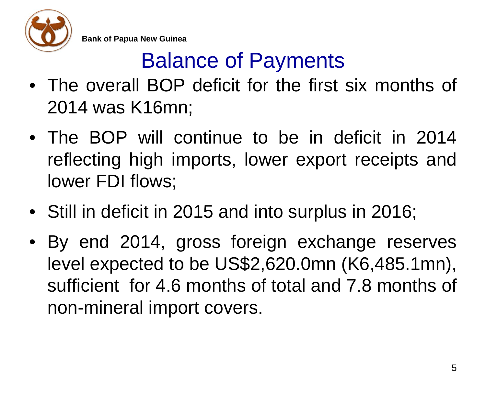

## Balance of Payments

- The overall BOP deficit for the first six months of 2014 was K16mn;
- The BOP will continue to be in deficit in 2014 reflecting high imports, lower export receipts and lower FDI flows;
- Still in deficit in 2015 and into surplus in 2016;
- By end 2014, gross foreign exchange reserves level expected to be US\$2,620.0mn (K6,485.1mn), sufficient for 4.6 months of total and 7.8 months of non-mineral import covers.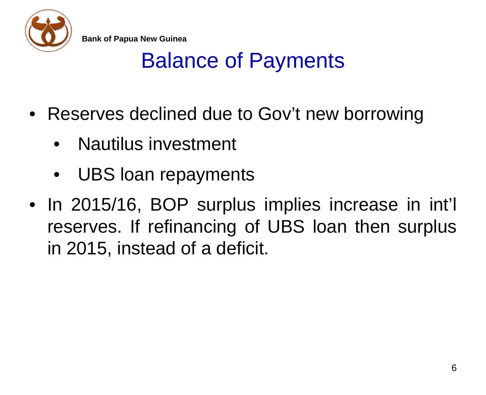

#### Balance of Payments

- Reserves declined due to Gov't new borrowing
	- Nautilus investment
	- UBS loan repayments
- In 2015/16, BOP surplus implies increase in int'l reserves. If refinancing of UBS loan then surplus in 2015, instead of a deficit.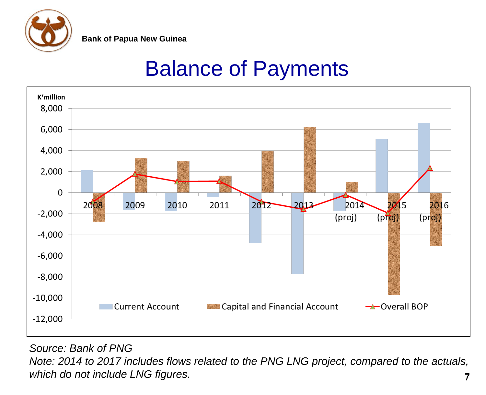

#### Balance of Payments



*Source: Bank of PNG*

*Note: 2014 to 2017 includes flows related to the PNG LNG project, compared to the actuals, which do not include LNG figures.* 7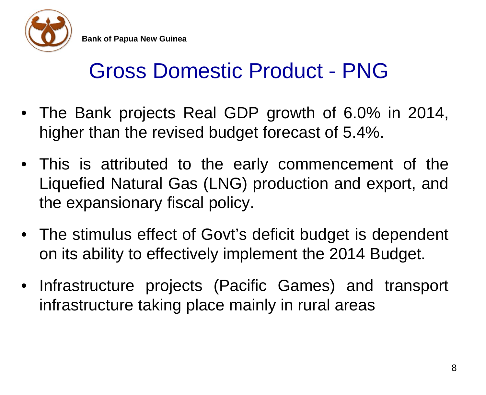

#### Gross Domestic Product - PNG

- The Bank projects Real GDP growth of 6.0% in 2014, higher than the revised budget forecast of 5.4%.
- This is attributed to the early commencement of the Liquefied Natural Gas (LNG) production and export, and the expansionary fiscal policy.
- The stimulus effect of Govt's deficit budget is dependent on its ability to effectively implement the 2014 Budget.
- Infrastructure projects (Pacific Games) and transport infrastructure taking place mainly in rural areas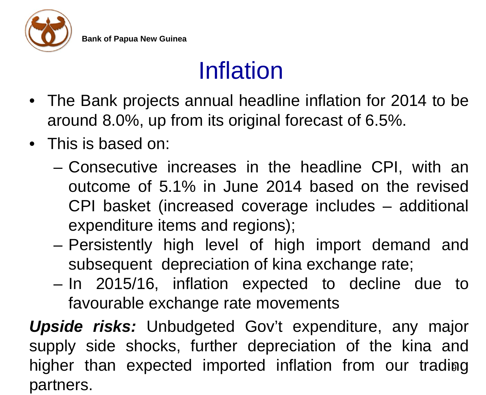

## Inflation

- The Bank projects annual headline inflation for 2014 to be around 8.0%, up from its original forecast of 6.5%.
- This is based on:
	- Consecutive increases in the headline CPI, with an outcome of 5.1% in June 2014 based on the revised CPI basket (increased coverage includes – additional expenditure items and regions);
	- Persistently high level of high import demand and subsequent depreciation of kina exchange rate;
	- In 2015/16, inflation expected to decline due to favourable exchange rate movements

*Upside risks:* Unbudgeted Gov't expenditure, any major supply side shocks, further depreciation of the kina and higher than expected imported inflation from our trading partners.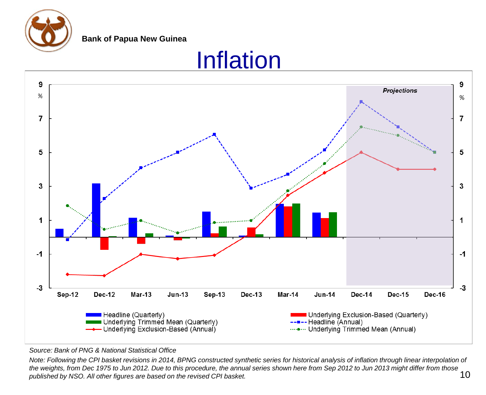

#### Inflation



#### *Source: Bank of PNG & National Statistical Office*

*Note: Following the CPI basket revisions in 2014, BPNG constructed synthetic series for historical analysis of inflation through linear interpolation of the weights, from Dec 1975 to Jun 2012. Due to this procedure, the annual series shown here from Sep 2012 to Jun 2013 might differ from those published by NSO. All other figures are based on the revised CPI basket.* 10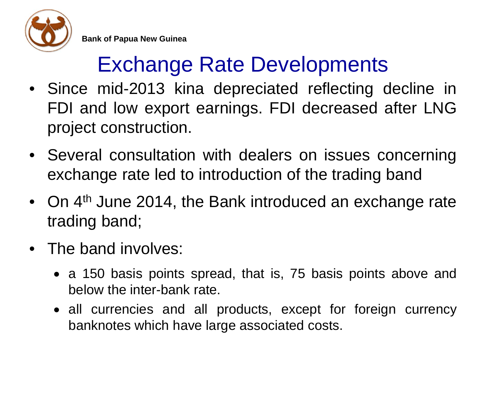

## Exchange Rate Developments

- Since mid-2013 kina depreciated reflecting decline in FDI and low export earnings. FDI decreased after LNG project construction.
- Several consultation with dealers on issues concerning exchange rate led to introduction of the trading band
- On 4<sup>th</sup> June 2014, the Bank introduced an exchange rate trading band;
- The band involves:
	- a 150 basis points spread, that is, 75 basis points above and below the inter-bank rate.
	- all currencies and all products, except for foreign currency banknotes which have large associated costs.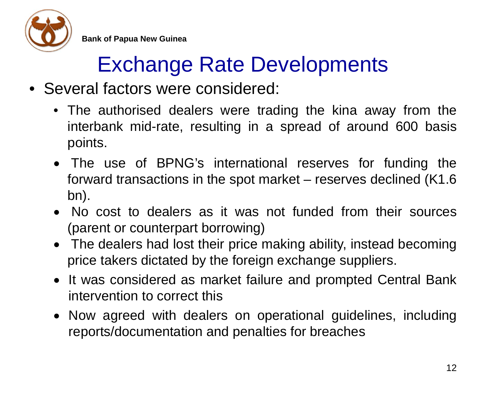

#### Exchange Rate Developments

- Several factors were considered:
	- The authorised dealers were trading the kina away from the interbank mid-rate, resulting in a spread of around 600 basis points.
	- The use of BPNG's international reserves for funding the forward transactions in the spot market – reserves declined (K1.6 bn).
	- No cost to dealers as it was not funded from their sources (parent or counterpart borrowing)
	- The dealers had lost their price making ability, instead becoming price takers dictated by the foreign exchange suppliers.
	- It was considered as market failure and prompted Central Bank intervention to correct this
	- Now agreed with dealers on operational guidelines, including reports/documentation and penalties for breaches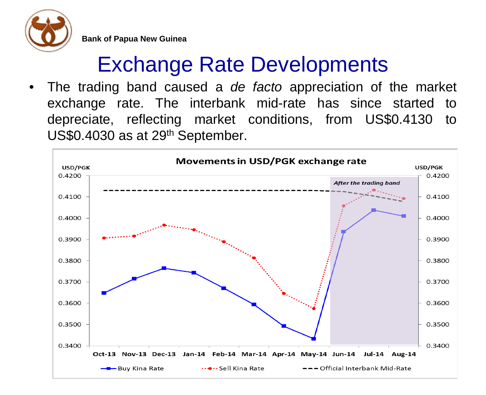

#### Exchange Rate Developments

• The trading band caused a *de facto* appreciation of the market exchange rate. The interbank mid-rate has since started to depreciate, reflecting market conditions, from US\$0.4130 to US\$0.4030 as at 29<sup>th</sup> September.

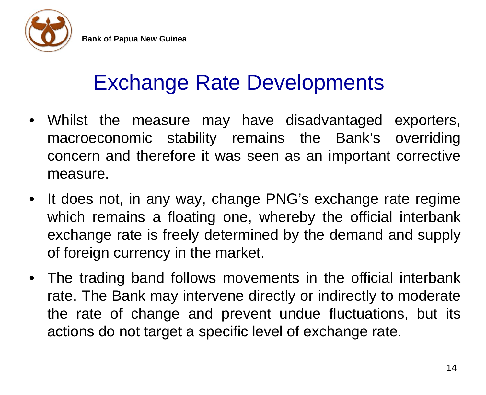

#### Exchange Rate Developments

- Whilst the measure may have disadvantaged exporters, macroeconomic stability remains the Bank's overriding concern and therefore it was seen as an important corrective measure.
- It does not, in any way, change PNG's exchange rate regime which remains a floating one, whereby the official interbank exchange rate is freely determined by the demand and supply of foreign currency in the market.
- The trading band follows movements in the official interbank rate. The Bank may intervene directly or indirectly to moderate the rate of change and prevent undue fluctuations, but its actions do not target a specific level of exchange rate.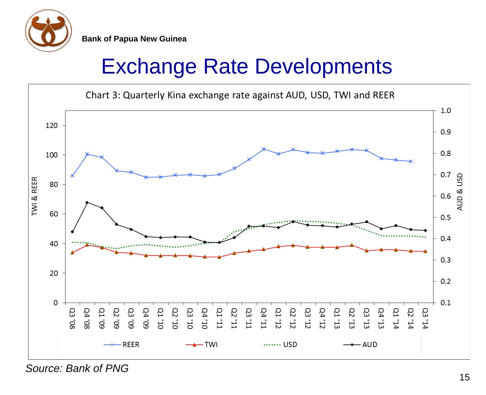

#### Exchange Rate Developments



*Source: Bank of PNG*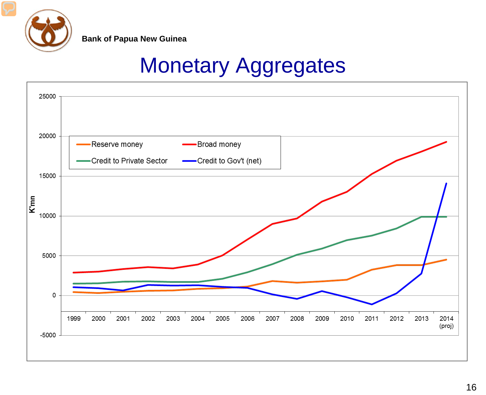

#### Monetary Aggregates

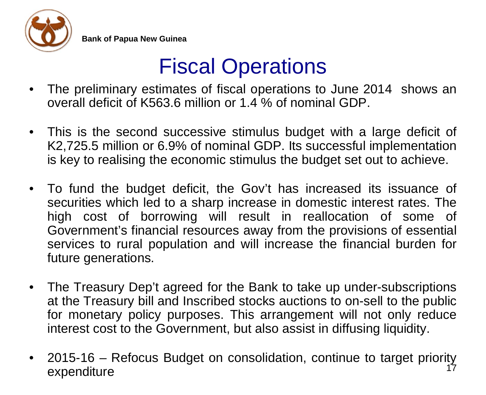

#### Fiscal Operations

- The preliminary estimates of fiscal operations to June 2014 shows an overall deficit of K563.6 million or 1.4 % of nominal GDP.
- This is the second successive stimulus budget with a large deficit of K2,725.5 million or 6.9% of nominal GDP. Its successful implementation is key to realising the economic stimulus the budget set out to achieve.
- To fund the budget deficit, the Gov't has increased its issuance of securities which led to a sharp increase in domestic interest rates. The high cost of borrowing will result in reallocation of some of Government's financial resources away from the provisions of essential services to rural population and will increase the financial burden for future generations.
- The Treasury Dep't agreed for the Bank to take up under-subscriptions at the Treasury bill and Inscribed stocks auctions to on-sell to the public for monetary policy purposes. This arrangement will not only reduce interest cost to the Government, but also assist in diffusing liquidity.
- 2015-16 Refocus Budget on consolidation, continue to target priority expenditure 17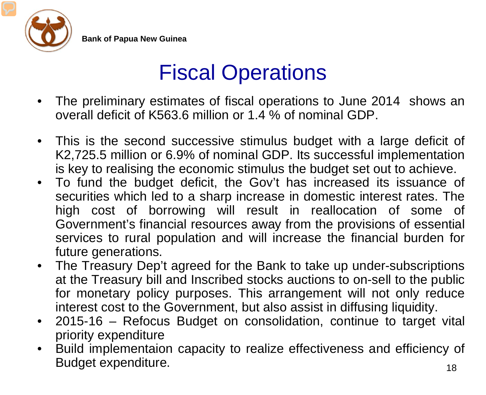

#### Fiscal Operations

- The preliminary estimates of fiscal operations to June 2014 shows an overall deficit of K563.6 million or 1.4 % of nominal GDP.
- This is the second successive stimulus budget with a large deficit of K2,725.5 million or 6.9% of nominal GDP. Its successful implementation is key to realising the economic stimulus the budget set out to achieve.
- To fund the budget deficit, the Gov't has increased its issuance of securities which led to a sharp increase in domestic interest rates. The high cost of borrowing will result in reallocation of some of Government's financial resources away from the provisions of essential services to rural population and will increase the financial burden for future generations.
- The Treasury Dep't agreed for the Bank to take up under-subscriptions at the Treasury bill and Inscribed stocks auctions to on-sell to the public for monetary policy purposes. This arrangement will not only reduce interest cost to the Government, but also assist in diffusing liquidity.
- 2015-16 Refocus Budget on consolidation, continue to target vital priority expenditure
- Build implementaion capacity to realize effectiveness and efficiency of Budget expenditure.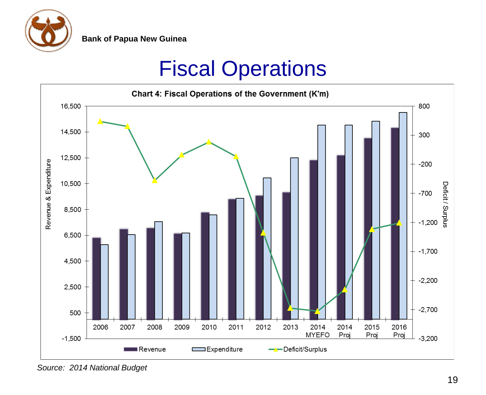

#### Fiscal Operations



*Source: 2014 National Budget*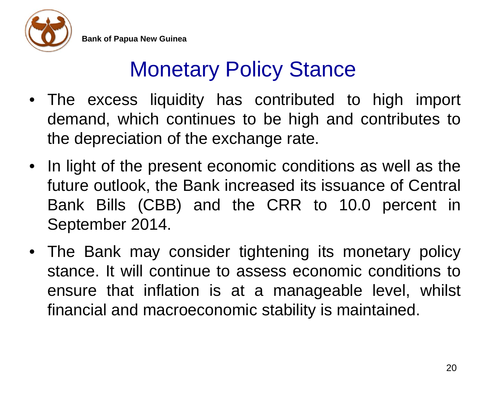

#### Monetary Policy Stance

- The excess liquidity has contributed to high import demand, which continues to be high and contributes to the depreciation of the exchange rate.
- In light of the present economic conditions as well as the future outlook, the Bank increased its issuance of Central Bank Bills (CBB) and the CRR to 10.0 percent in September 2014.
- The Bank may consider tightening its monetary policy stance. It will continue to assess economic conditions to ensure that inflation is at a manageable level, whilst financial and macroeconomic stability is maintained.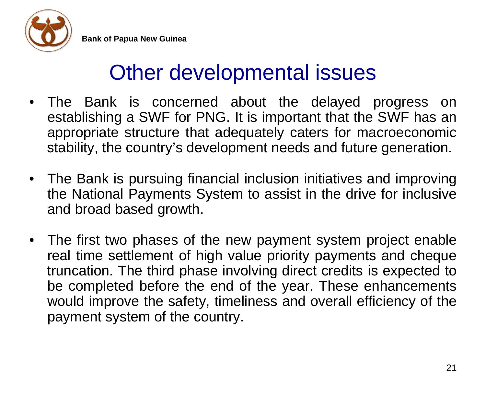

#### Other developmental issues

- The Bank is concerned about the delayed progress on establishing a SWF for PNG. It is important that the SWF has an appropriate structure that adequately caters for macroeconomic stability, the country's development needs and future generation.
- The Bank is pursuing financial inclusion initiatives and improving the National Payments System to assist in the drive for inclusive and broad based growth.
- The first two phases of the new payment system project enable real time settlement of high value priority payments and cheque truncation. The third phase involving direct credits is expected to be completed before the end of the year. These enhancements would improve the safety, timeliness and overall efficiency of the payment system of the country.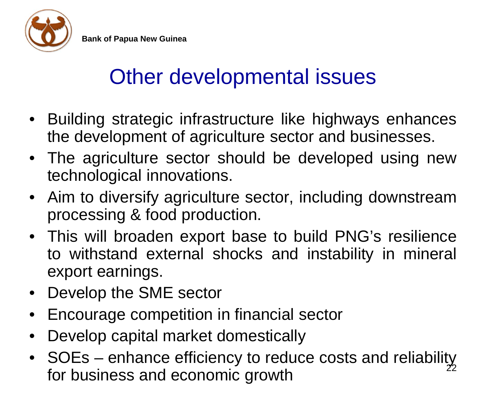

#### Other developmental issues

- Building strategic infrastructure like highways enhances the development of agriculture sector and businesses.
- The agriculture sector should be developed using new technological innovations.
- Aim to diversify agriculture sector, including downstream processing & food production.
- This will broaden export base to build PNG's resilience to withstand external shocks and instability in mineral export earnings.
- Develop the SME sector
- Encourage competition in financial sector
- Develop capital market domestically
- SOEs enhance efficiency to reduce costs and reliability for business and economic growth